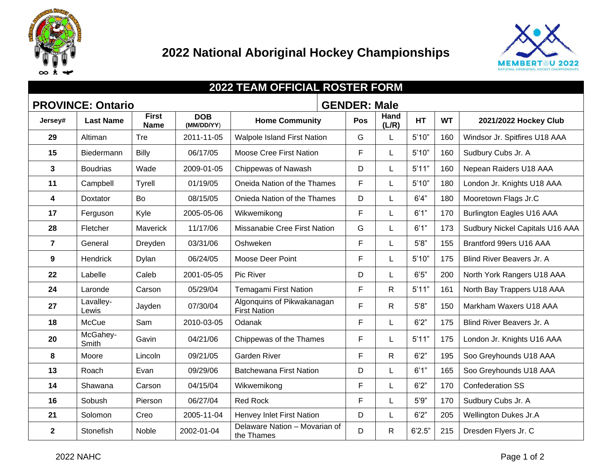



| <b>2022 TEAM OFFICIAL ROSTER FORM</b>           |                    |                             |                          |                                                   |     |               |           |           |                                  |
|-------------------------------------------------|--------------------|-----------------------------|--------------------------|---------------------------------------------------|-----|---------------|-----------|-----------|----------------------------------|
| <b>PROVINCE: Ontario</b><br><b>GENDER: Male</b> |                    |                             |                          |                                                   |     |               |           |           |                                  |
| Jersey#                                         | <b>Last Name</b>   | <b>First</b><br><b>Name</b> | <b>DOB</b><br>(MM/DD/YY) | <b>Home Community</b>                             | Pos | Hand<br>(L/R) | <b>HT</b> | <b>WT</b> | 2021/2022 Hockey Club            |
| 29                                              | Altiman            | Tre                         | 2011-11-05               | <b>Walpole Island First Nation</b>                | G   |               | 5'10"     | 160       | Windsor Jr. Spitfires U18 AAA    |
| 15                                              | Biedermann         | Billy                       | 06/17/05                 | Moose Cree First Nation                           | F   |               | 5'10"     | 160       | Sudbury Cubs Jr. A               |
| $\mathbf{3}$                                    | <b>Boudrias</b>    | Wade                        | 2009-01-05               | Chippewas of Nawash                               | D   |               | 5'11"     | 160       | Nepean Raiders U18 AAA           |
| 11                                              | Campbell           | Tyrell                      | 01/19/05                 | Oneida Nation of the Thames                       | F   |               | 5'10"     | 180       | London Jr. Knights U18 AAA       |
| 4                                               | <b>Doxtator</b>    | Bo                          | 08/15/05                 | Onieda Nation of the Thames                       | D   |               | 6'4''     | 180       | Mooretown Flags Jr.C             |
| 17                                              | Ferguson           | Kyle                        | 2005-05-06               | Wikwemikong                                       | F   |               | 6'1''     | 170       | <b>Burlington Eagles U16 AAA</b> |
| 28                                              | Fletcher           | Maverick                    | 11/17/06                 | Missanabie Cree First Nation                      | G   |               | 6'1''     | 173       | Sudbury Nickel Capitals U16 AAA  |
| $\overline{7}$                                  | General            | Dreyden                     | 03/31/06                 | Oshweken                                          | F.  |               | 5'8''     | 155       | Brantford 99ers U16 AAA          |
| $\boldsymbol{9}$                                | Hendrick           | Dylan                       | 06/24/05                 | Moose Deer Point                                  | F   |               | 5'10"     | 175       | Blind River Beavers Jr. A        |
| 22                                              | Labelle            | Caleb                       | 2001-05-05               | Pic River                                         | D   |               | 6'5''     | 200       | North York Rangers U18 AAA       |
| 24                                              | Laronde            | Carson                      | 05/29/04                 | Temagami First Nation                             | F   | $\mathsf{R}$  | 5'11"     | 161       | North Bay Trappers U18 AAA       |
| 27                                              | Lavalley-<br>Lewis | Jayden                      | 07/30/04                 | Algonquins of Pikwakanagan<br><b>First Nation</b> | F   | $\mathsf{R}$  | 5'8''     | 150       | Markham Waxers U18 AAA           |
| 18                                              | McCue              | Sam                         | 2010-03-05               | Odanak                                            | F   |               | 6'2''     | 175       | Blind River Beavers Jr. A        |
| 20                                              | McGahey-<br>Smith  | Gavin                       | 04/21/06                 | Chippewas of the Thames                           | F   |               | 5'11"     | 175       | London Jr. Knights U16 AAA       |
| 8                                               | Moore              | Lincoln                     | 09/21/05                 | <b>Garden River</b>                               | F   | $\mathsf{R}$  | 6'2''     | 195       | Soo Greyhounds U18 AAA           |
| 13                                              | Roach              | Evan                        | 09/29/06                 | <b>Batchewana First Nation</b>                    | D   |               | 6'1"      | 165       | Soo Greyhounds U18 AAA           |
| 14                                              | Shawana            | Carson                      | 04/15/04                 | Wikwemikong                                       | F.  |               | 6'2''     | 170       | <b>Confederation SS</b>          |
| 16                                              | Sobush             | Pierson                     | 06/27/04                 | <b>Red Rock</b>                                   | F.  |               | 5'9''     | 170       | Sudbury Cubs Jr. A               |
| 21                                              | Solomon            | Creo                        | 2005-11-04               | Henvey Inlet First Nation                         | D   |               | 6'2''     | 205       | <b>Wellington Dukes Jr.A</b>     |
| $\overline{\mathbf{2}}$                         | Stonefish          | Noble                       | 2002-01-04               | Delaware Nation - Movarian of<br>the Thames       | D   | $\mathsf{R}$  | 6'2.5"    | 215       | Dresden Flyers Jr. C             |